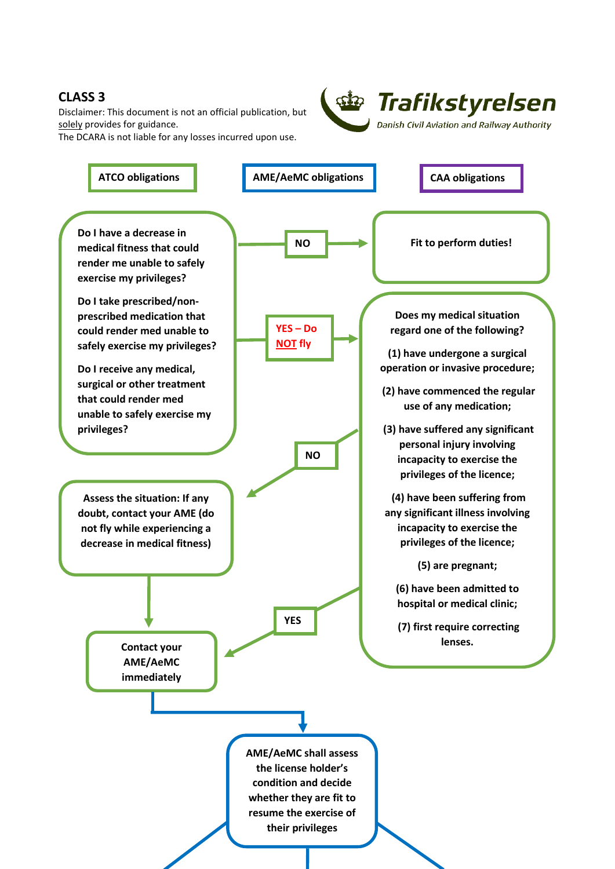## **CLASS 3**

Disclaimer: This document is not an official publication, but solely provides for guidance.

The DCARA is not liable for any losses incurred upon use.